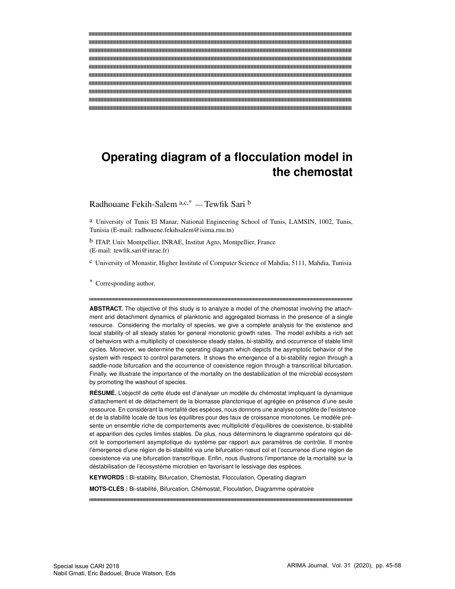# **Operating diagram of a flocculation model in the chemostat**

Radhouane Fekih-Salem a,c,\* — Tewfik Sari b

a University of Tunis El Manar, National Engineering School of Tunis, LAMSIN, 1002, Tunis, Tunisia (E-mail: radhouene.fekihsalem@isima.rnu.tn)

b ITAP, Univ Montpellier, INRAE, Institut Agro, Montpellier, France (E-mail: tewfik.sari@inrae.fr)

c University of Monastir, Higher Institute of Computer Science of Mahdia, 5111, Mahdia, Tunisia

\* Corresponding author.

**ABSTRACT.** The objective of this study is to analyze a model of the chemostat involving the attachment and detachment dynamics of planktonic and aggregated biomass in the presence of a single resource. Considering the mortality of species, we give a complete analysis for the existence and local stability of all steady states for general monotonic growth rates. The model exhibits a rich set of behaviors with a multiplicity of coexistence steady states, bi-stability, and occurrence of stable limit cycles. Moreover, we determine the operating diagram which depicts the asymptotic behavior of the system with respect to control parameters. It shows the emergence of a bi-stability region through a saddle-node bifurcation and the occurrence of coexistence region through a transcritical bifurcation. Finally, we illustrate the importance of the mortality on the destabilization of the microbial ecosystem by promoting the washout of species.

**RÉSUMÉ.** L'objectif de cette étude est d'analyser un modèle du chémostat impliquant la dynamique d'attachement et de détachement de la biomasse planctonique et agrégée en présence d'une seule ressource. En considérant la mortalité des espèces, nous donnons une analyse complète de l'existence et de la stabilité locale de tous les équilibres pour des taux de croissance monotones. Le modèle présente un ensemble riche de comportements avec multiplicité d'équilibres de coexistence, bi-stabilité et apparition des cycles limites stables. De plus, nous déterminons le diagramme opératoire qui décrit le comportement asymptotique du système par rapport aux paramètres de contrôle. Il montre l'émergence d'une région de bi-stabilité via une bifurcation nœud col et l'occurrence d'une région de coexistence via une bifurcation transcritique. Enfin, nous illustrons l'importance de la mortalité sur la déstabilisation de l'écosystème microbien en favorisant le lessivage des espèces.

**KEYWORDS :** Bi-stability, Bifurcation, Chemostat, Flocculation, Operating diagram

**MOTS-CLÉS :** Bi-stabilité, Bifurcation, Chémostat, Floculation, Diagramme opératoire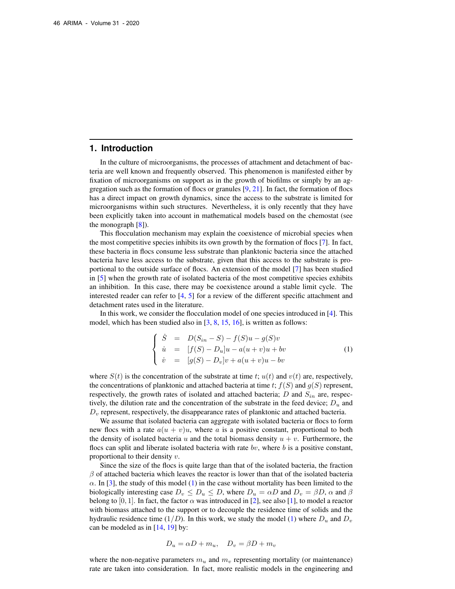## **1. Introduction**

In the culture of microorganisms, the processes of attachment and detachment of bacteria are well known and frequently observed. This phenomenon is manifested either by fixation of microorganisms on support as in the growth of biofilms or simply by an aggregation such as the formation of flocs or granules  $[9, 21]$  $[9, 21]$  $[9, 21]$ . In fact, the formation of flocs has a direct impact on growth dynamics, since the access to the substrate is limited for microorganisms within such structures. Nevertheless, it is only recently that they have been explicitly taken into account in mathematical models based on the chemostat (see the monograph  $[8]$ ).

This flocculation mechanism may explain the coexistence of microbial species when the most competitive species inhibits its own growth by the formation of flocs [\[7\]](#page-12-2). In fact, these bacteria in flocs consume less substrate than planktonic bacteria since the attached bacteria have less access to the substrate, given that this access to the substrate is proportional to the outside surface of flocs. An extension of the model [\[7\]](#page-12-2) has been studied in [\[5\]](#page-12-3) when the growth rate of isolated bacteria of the most competitive species exhibits an inhibition. In this case, there may be coexistence around a stable limit cycle. The interested reader can refer to  $\begin{bmatrix} 4 \\ 5 \end{bmatrix}$  for a review of the different specific attachment and detachment rates used in the literature.

In this work, we consider the flocculation model of one species introduced in [\[4\]](#page-12-4). This model, which has been studied also in  $[3, 8, 15, 16]$  $[3, 8, 15, 16]$  $[3, 8, 15, 16]$  $[3, 8, 15, 16]$  $[3, 8, 15, 16]$  $[3, 8, 15, 16]$  $[3, 8, 15, 16]$ , is written as follows:

<span id="page-1-0"></span>
$$
\begin{cases}\n\dot{S} = D(S_{in} - S) - f(S)u - g(S)v \\
\dot{u} = [f(S) - D_u]u - a(u + v)u + bv \\
\dot{v} = [g(S) - D_v]v + a(u + v)u - bv\n\end{cases}
$$
\n(1)

where  $S(t)$  is the concentration of the substrate at time t;  $u(t)$  and  $v(t)$  are, respectively, the concentrations of planktonic and attached bacteria at time t;  $f(S)$  and  $g(S)$  represent, respectively, the growth rates of isolated and attached bacteria; D and  $S_{in}$  are, respectively, the dilution rate and the concentration of the substrate in the feed device;  $D_u$  and  $D<sub>v</sub>$  represent, respectively, the disappearance rates of planktonic and attached bacteria.

We assume that isolated bacteria can aggregate with isolated bacteria or flocs to form new flocs with a rate  $a(u + v)u$ , where a is a positive constant, proportional to both the density of isolated bacteria u and the total biomass density  $u + v$ . Furthermore, the flocs can split and liberate isolated bacteria with rate  $bv$ , where  $b$  is a positive constant, proportional to their density v.

Since the size of the flocs is quite large than that of the isolated bacteria, the fraction  $\beta$  of attached bacteria which leaves the reactor is lower than that of the isolated bacteria  $\alpha$ . In [\[3\]](#page-12-5), the study of this model [\(1\)](#page-1-0) in the case without mortality has been limited to the biologically interesting case  $D_v \leq D_u \leq D$ , where  $D_u = \alpha D$  and  $D_v = \beta D$ ,  $\alpha$  and  $\beta$ belong to [0, 1]. In fact, the factor  $\alpha$  was introduced in [\[2\]](#page-12-8), see also [\[1\]](#page-12-9), to model a reactor with biomass attached to the support or to decouple the residence time of solids and the hydraulic residence time  $(1/D)$ . In this work, we study the model [\(1\)](#page-1-0) where  $D_u$  and  $D_v$ can be modeled as in [\[14,](#page-12-10) [19\]](#page-12-11) by:

$$
D_u = \alpha D + m_u, \quad D_v = \beta D + m_v
$$

where the non-negative parameters  $m_u$  and  $m_v$  representing mortality (or maintenance) rate are taken into consideration. In fact, more realistic models in the engineering and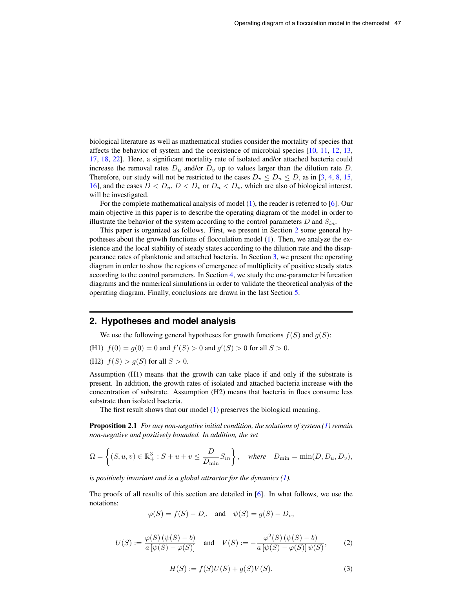biological literature as well as mathematical studies consider the mortality of species that affects the behavior of system and the coexistence of microbial species [\[10,](#page-12-12) [11,](#page-12-13) [12,](#page-12-14) [13,](#page-12-15) [17,](#page-12-16) [18,](#page-12-17) [22\]](#page-13-1). Here, a significant mortality rate of isolated and/or attached bacteria could increase the removal rates  $D_u$  and/or  $D_v$  up to values larger than the dilution rate D. Therefore, our study will not be restricted to the cases  $D_v \le D_u \le D$ , as in [\[3,](#page-12-5) [4,](#page-12-4) [8,](#page-12-1) [15,](#page-12-6) [16\]](#page-12-7), and the cases  $D < D_u$ ,  $D < D_v$  or  $D_u < D_v$ , which are also of biological interest, will be investigated.

For the complete mathematical analysis of model [\(1\)](#page-1-0), the reader is referred to [\[6\]](#page-12-18). Our main objective in this paper is to describe the operating diagram of the model in order to illustrate the behavior of the system according to the control parameters D and  $S_{in}$ .

This paper is organized as follows. First, we present in Section [2](#page-2-0) some general hypotheses about the growth functions of flocculation model [\(1\)](#page-1-0). Then, we analyze the existence and the local stability of steady states according to the dilution rate and the disappearance rates of planktonic and attached bacteria. In Section [3,](#page-5-0) we present the operating diagram in order to show the regions of emergence of multiplicity of positive steady states according to the control parameters. In Section [4,](#page-8-0) we study the one-parameter bifurcation diagrams and the numerical simulations in order to validate the theoretical analysis of the operating diagram. Finally, conclusions are drawn in the last Section [5.](#page-10-0)

### <span id="page-2-0"></span>**2. Hypotheses and model analysis**

We use the following general hypotheses for growth functions  $f(S)$  and  $g(S)$ :

(H1)  $f(0) = g(0) = 0$  and  $f'(S) > 0$  and  $g'(S) > 0$  for all  $S > 0$ .

(H2)  $f(S) > q(S)$  for all  $S > 0$ .

Assumption (H1) means that the growth can take place if and only if the substrate is present. In addition, the growth rates of isolated and attached bacteria increase with the concentration of substrate. Assumption (H2) means that bacteria in flocs consume less substrate than isolated bacteria.

The first result shows that our model [\(1\)](#page-1-0) preserves the biological meaning.

**Proposition 2.1** *For any non-negative initial condition, the solutions of system [\(1\)](#page-1-0) remain non-negative and positively bounded. In addition, the set*

$$
\Omega = \left\{ (S, u, v) \in \mathbb{R}_+^3 : S + u + v \le \frac{D}{D_{\min}} S_{in} \right\}, \quad \text{where} \quad D_{\min} = \min(D, D_u, D_v),
$$

*is positively invariant and is a global attractor for the dynamics [\(1\)](#page-1-0).*

The proofs of all results of this section are detailed in [\[6\]](#page-12-18). In what follows, we use the notations:

$$
\varphi(S) = f(S) - D_u
$$
 and  $\psi(S) = g(S) - D_v$ ,

<span id="page-2-2"></span><span id="page-2-1"></span>
$$
U(S) := \frac{\varphi(S) (\psi(S) - b)}{a [\psi(S) - \varphi(S)]} \quad \text{and} \quad V(S) := -\frac{\varphi^2(S) (\psi(S) - b)}{a [\psi(S) - \varphi(S)] \psi(S)}, \tag{2}
$$

$$
H(S) := f(S)U(S) + g(S)V(S).
$$
 (3)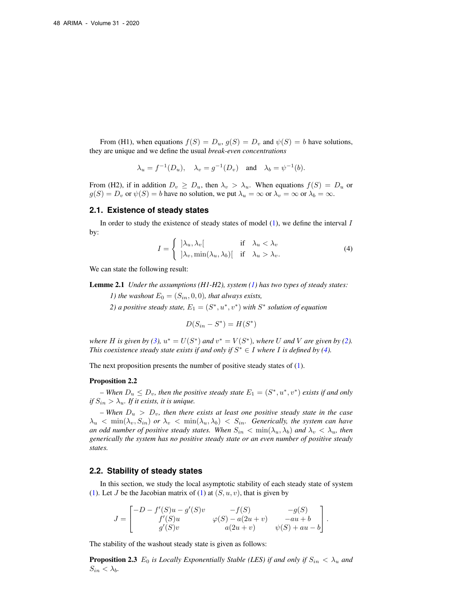From (H1), when equations  $f(S) = D_u$ ,  $g(S) = D_v$  and  $\psi(S) = b$  have solutions, they are unique and we define the usual *break-even concentrations*

$$
\lambda_u = f^{-1}(D_u), \quad \lambda_v = g^{-1}(D_v) \quad \text{and} \quad \lambda_b = \psi^{-1}(b).
$$

From (H2), if in addition  $D_v \ge D_u$ , then  $\lambda_v > \lambda_u$ . When equations  $f(S) = D_u$  or  $g(S) = D_v$  or  $\psi(S) = b$  have no solution, we put  $\lambda_u = \infty$  or  $\lambda_v = \infty$  or  $\lambda_b = \infty$ .

#### **2.1. Existence of steady states**

<span id="page-3-0"></span>In order to study the existence of steady states of model  $(1)$ , we define the interval I by:

$$
I = \begin{cases} |\lambda_u, \lambda_v[ & \text{if } \lambda_u < \lambda_v\\ |\lambda_v, \min(\lambda_u, \lambda_b)[ & \text{if } \lambda_u > \lambda_v. \end{cases}
$$
 (4)

We can state the following result:

Lemme 2.1 *Under the assumptions (H1-H2), system [\(1\)](#page-1-0) has two types of steady states:*

*1) the washout*  $E_0 = (S_{in}, 0, 0)$ *, that always exists,* 

2) a positive steady state,  $E_1 = (S^*, u^*, v^*)$  with  $S^*$  solution of equation

$$
D(S_{in} - S^*) = H(S^*)
$$

*where H* is given by [\(3\)](#page-2-1),  $u^* = U(S^*)$  and  $v^* = V(S^*)$ , where U and V are given by [\(2\)](#page-2-2). *This coexistence steady state exists if and only if*  $S^* \in I$  *where I is defined by* [\(4\)](#page-3-0)*.* 

The next proposition presents the number of positive steady states of [\(1\)](#page-1-0).

#### Proposition 2.2

 $P -$  *When*  $D_u \leq D_v$ , then the positive steady state  $E_1 = (S^*, u^*, v^*)$  exists if and only *if*  $S_{in} > \lambda_u$ . *If it exists, it is unique.* 

 $-$  When  $D_u$   $>$   $D_v$ , then there exists at least one positive steady state in the case  $\lambda_u$  < min $(\lambda_v, S_{in})$  or  $\lambda_v$  < min $(\lambda_u, \lambda_b)$  <  $S_{in}$ . Generically, the system can have *an odd number of positive steady states. When*  $S_{in} < min(\lambda_u, \lambda_b)$  *and*  $\lambda_v < \lambda_u$ *, then generically the system has no positive steady state or an even number of positive steady states.*

#### **2.2. Stability of steady states**

In this section, we study the local asymptotic stability of each steady state of system [\(1\)](#page-1-0). Let J be the Jacobian matrix of (1) at  $(S, u, v)$ , that is given by

$$
J = \begin{bmatrix} -D - f'(S)u - g'(S)v & -f(S) & -g(S) \\ f'(S)u & \varphi(S) - a(2u + v) & -au + b \\ g'(S)v & a(2u + v) & \psi(S) + au - b \end{bmatrix}.
$$

The stability of the washout steady state is given as follows:

**Proposition 2.3**  $E_0$  *is Locally Exponentially Stable (LES) if and only if*  $S_{in} < \lambda_u$  *and*  $S_{in} < \lambda_b$ .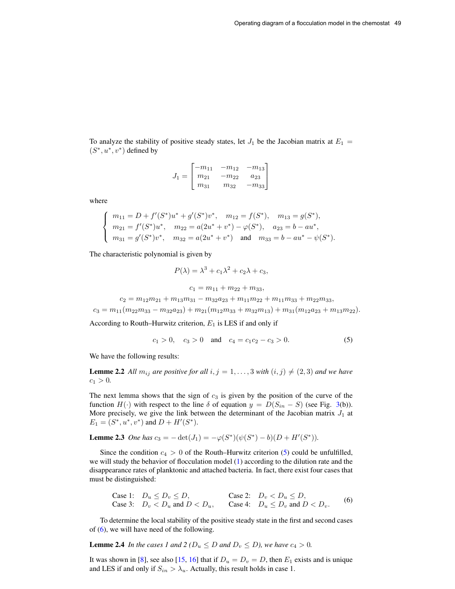To analyze the stability of positive steady states, let  $J_1$  be the Jacobian matrix at  $E_1 =$  $(S^*, u^*, v^*)$  defined by

$$
J_1 = \begin{bmatrix} -m_{11} & -m_{12} & -m_{13} \\ m_{21} & -m_{22} & a_{23} \\ m_{31} & m_{32} & -m_{33} \end{bmatrix}
$$

where

$$
\begin{cases}\nm_{11} = D + f'(S^*)u^* + g'(S^*)v^*, & m_{12} = f(S^*), & m_{13} = g(S^*), \\
m_{21} = f'(S^*)u^*, & m_{22} = a(2u^* + v^*) - \varphi(S^*), & a_{23} = b - au^*, \\
m_{31} = g'(S^*)v^*, & m_{32} = a(2u^* + v^*) & \text{and} & m_{33} = b - au^* - \psi(S^*).\n\end{cases}
$$

The characteristic polynomial is given by

$$
P(\lambda) = \lambda^3 + c_1 \lambda^2 + c_2 \lambda + c_3,
$$

<span id="page-4-0"></span>
$$
c_1 = m_{11} + m_{22} + m_{33},
$$

$$
c_2 = m_{12}m_{21} + m_{13}m_{31} - m_{32}a_{23} + m_{11}m_{22} + m_{11}m_{33} + m_{22}m_{33},
$$

 $c_3 = m_{11}(m_{22}m_{33} - m_{32}a_{23}) + m_{21}(m_{12}m_{33} + m_{32}m_{13}) + m_{31}(m_{12}a_{23} + m_{13}m_{22}).$ 

According to Routh–Hurwitz criterion,  $E_1$  is LES if and only if

<span id="page-4-3"></span><span id="page-4-2"></span>
$$
c_1 > 0, \quad c_3 > 0 \quad \text{and} \quad c_4 = c_1 c_2 - c_3 > 0. \tag{5}
$$

We have the following results:

**Lemme 2.2** All  $m_{ij}$  are positive for all  $i, j = 1, ..., 3$  with  $(i, j) \neq (2, 3)$  and we have  $c_1 > 0.$ 

The next lemma shows that the sign of  $c_3$  is given by the position of the curve of the function  $H(\cdot)$  with respect to the line  $\delta$  of equation  $y = D(S_{in} - S)$  (see Fig. [3\(](#page-9-0)b)). More precisely, we give the link between the determinant of the Jacobian matrix  $J_1$  at  $E_1 = (S^*, u^*, v^*)$  and  $D + H'(S^*)$ .

## **Lemme 2.3** *One has*  $c_3 = -\det(J_1) = -\varphi(S^*)(\psi(S^*) - b)(D + H'(S^*))$ .

Since the condition  $c_4 > 0$  of the Routh–Hurwitz criterion [\(5\)](#page-4-0) could be unfulfilled, we will study the behavior of flocculation model [\(1\)](#page-1-0) according to the dilution rate and the disappearance rates of planktonic and attached bacteria. In fact, there exist four cases that must be distinguished:

<span id="page-4-1"></span>Case 1: 
$$
D_u \le D_v \le D
$$
,  
Case 3:  $D_v < D_u$  and  $D < D_u$ ,  
Case 4:  $D_u \le D_v$  and  $D < D_v$ . (6)

To determine the local stability of the positive steady state in the first and second cases of  $(6)$ , we will have need of the following.

**Lemme 2.4** *In the cases 1 and 2 (* $D_u \leq D$  *and*  $D_v \leq D$ ), we have  $c_4 > 0$ .

It was shown in [\[8\]](#page-12-1), see also [\[15,](#page-12-6) [16\]](#page-12-7) that if  $D_u = D_v = D$ , then  $E_1$  exists and is unique and LES if and only if  $S_{in} > \lambda_u$ . Actually, this result holds in case 1.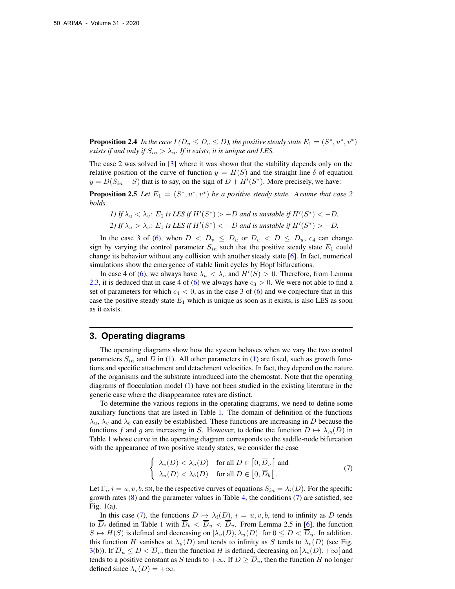**Proposition 2.4** In the case  $I(D_u \leq D_v \leq D)$ , the positive steady state  $E_1 = (S^*, u^*, v^*)$ *exists if and only if*  $S_{in} > \lambda_u$ *. If it exists, it is unique and LES.* 

The case 2 was solved in [\[3\]](#page-12-5) where it was shown that the stability depends only on the relative position of the curve of function  $y = H(S)$  and the straight line  $\delta$  of equation  $y = D(S_{in} - S)$  that is to say, on the sign of  $D + H'(S^*)$ . More precisely, we have:

**Proposition 2.5** Let  $E_1 = (S^*, u^*, v^*)$  be a positive steady state. Assume that case 2 *holds.*

\n- $$
I)
$$
 If  $\lambda_u < \lambda_v$ :  $E_1$  is LES if  $H'(S^*) > -D$  and is unstable if  $H'(S^*) < -D$ .
\n- $2)$  If  $\lambda_u > \lambda_v$ :  $E_1$  is LES if  $H'(S^*) < -D$  and is unstable if  $H'(S^*) > -D$ .
\n

In the case 3 of [\(6\)](#page-4-1), when  $D \, < \, D_v \, \leq \, D_u$  or  $D_v \, < \, D \, \leq \, D_u$ ,  $c_4$  can change sign by varying the control parameter  $S_{in}$  such that the positive steady state  $E_1$  could change its behavior without any collision with another steady state [\[6\]](#page-12-18). In fact, numerical simulations show the emergence of stable limit cycles by Hopf bifurcations.

In case 4 of [\(6\)](#page-4-1), we always have  $\lambda_u < \lambda_v$  and  $H'(S) > 0$ . Therefore, from Lemma [2.3,](#page-4-2) it is deduced that in case 4 of [\(6\)](#page-4-1) we always have  $c_3 > 0$ . We were not able to find a set of parameters for which  $c_4 < 0$ , as in the case 3 of [\(6\)](#page-4-1) and we conjecture that in this case the positive steady state  $E_1$  which is unique as soon as it exists, is also LES as soon as it exists.

#### <span id="page-5-0"></span>**3. Operating diagrams**

The operating diagrams show how the system behaves when we vary the two control parameters  $S_{in}$  and D in [\(1\)](#page-1-0). All other parameters in (1) are fixed, such as growth functions and specific attachment and detachment velocities. In fact, they depend on the nature of the organisms and the substrate introduced into the chemostat. Note that the operating diagrams of flocculation model [\(1\)](#page-1-0) have not been studied in the existing literature in the generic case where the disappearance rates are distinct.

To determine the various regions in the operating diagrams, we need to define some auxiliary functions that are listed in Table [1.](#page-6-0) The domain of definition of the functions  $\lambda_u$ ,  $\lambda_v$  and  $\lambda_b$  can easily be established. These functions are increasing in D because the functions f and g are increasing in S. However, to define the function  $D \mapsto \lambda_{\text{ss}}(D)$  in Table [1](#page-6-0) whose curve in the operating diagram corresponds to the saddle-node bifurcation with the appearance of two positive steady states, we consider the case

<span id="page-5-1"></span>
$$
\begin{cases}\n\lambda_v(D) < \lambda_u(D) \quad \text{for all } D \in [0, \overline{D}_u[ \text{ and } \lambda_u(D) < \lambda_b(D) \quad \text{for all } D \in [0, \overline{D}_b[ \ . \n\end{cases} \tag{7}
$$

Let  $\Gamma_i$ ,  $i = u, v, b$ , sn, be the respective curves of equations  $S_{in} = \lambda_i(D)$ . For the specific growth rates  $(8)$  and the parameter values in Table [4,](#page-11-0) the conditions  $(7)$  are satisfied, see Fig. [1\(](#page-8-1)a).

In this case [\(7\)](#page-5-1), the functions  $D \mapsto \lambda_i(D)$ ,  $i = u, v, b$ , tend to infinity as D tends to  $\overline{D}_i$  defined in Table [1](#page-6-0) with  $\overline{D}_b < \overline{D}_u < \overline{D}_v$ . From Lemma 2.5 in [\[6\]](#page-12-18), the function  $S \mapsto H(S)$  is defined and decreasing on  $[\lambda_v(D), \lambda_u(D)]$  for  $0 \leq D < \overline{D}_u$ . In addition, this function H vanishes at  $\lambda_u(D)$  and tends to infinity as S tends to  $\lambda_v(D)$  (see Fig. [3\(](#page-9-0)b)). If  $\overline{D}_u \leq D < \overline{D}_v$ , then the function H is defined, decreasing on  $|\lambda_v(D), +\infty|$  and tends to a positive constant as S tends to  $+\infty$ . If  $D \geq \overline{D}_v$ , then the function H no longer defined since  $\lambda_v(D) = +\infty$ .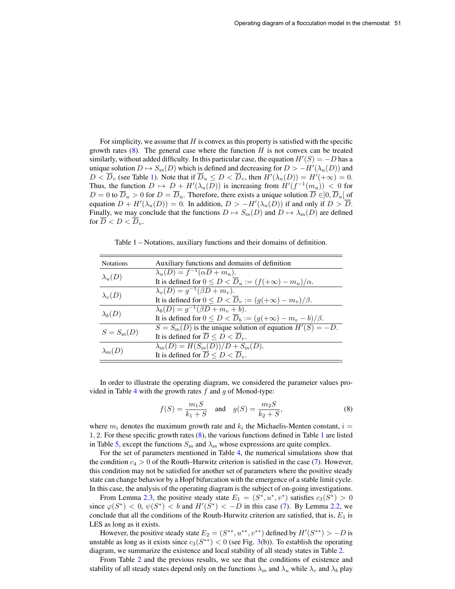For simplicity, we assume that  $H$  is convex as this property is satisfied with the specific growth rates  $(8)$ . The general case where the function  $H$  is not convex can be treated similarly, without added difficulty. In this particular case, the equation  $H'(S) = -D$  has a unique solution  $D \mapsto S_{\text{SN}}(D)$  which is defined and decreasing for  $D > -H'(\lambda_u(D))$  and  $D < \overline{D}_v$  (see Table [1\)](#page-6-0). Note that if  $\overline{D}_u \leq D < \overline{D}_v$ , then  $H'(\lambda_u(D)) = H'(+\infty) = 0$ . Thus, the function  $D \mapsto D + H'(\lambda_u(D))$  is increasing from  $H'(f^{-1}(m_u)) < 0$  for  $D = 0$  to  $\overline{D}_u > 0$  for  $D = \overline{D}_u$ . Therefore, there exists a unique solution  $\overline{D} \in ]0, \overline{D}_u[$  of equation  $D + H'(\lambda_u(D)) = 0$ . In addition,  $D > -H'(\lambda_u(D))$  if and only if  $D > \overline{D}$ . Finally, we may conclude that the functions  $D \mapsto S_{\text{SN}}(D)$  and  $D \mapsto \lambda_{\text{SN}}(D)$  are defined for  $D < D < D_v$ .

<span id="page-6-0"></span>Table 1 – Notations, auxiliary functions and their domains of definition.

| <b>Notations</b>      | Auxiliary functions and domains of definition                                  |  |  |  |
|-----------------------|--------------------------------------------------------------------------------|--|--|--|
|                       | $\lambda_u(D) = f^{-1}(\alpha D + m_u).$                                       |  |  |  |
| $\lambda_u(D)$        | It is defined for $0 \le D < \overline{D}_u := (f(+\infty) - m_u)/\alpha$ .    |  |  |  |
|                       | $\lambda_v(D) = g^{-1}(\beta D + m_v).$                                        |  |  |  |
| $\lambda_v(D)$        | It is defined for $0 \le D < \overline{D}_v := (g(+\infty) - m_v)/\beta$ .     |  |  |  |
| $\lambda_b(D)$        | $\lambda_b(D) = g^{-1}(\beta D + m_v + b).$                                    |  |  |  |
|                       | It is defined for $0 \le D < \overline{D}_b := (g(+\infty) - m_v - b)/\beta$ . |  |  |  |
|                       | $S = Ssn(D)$ is the unique solution of equation $H'(S) = -D$ .                 |  |  |  |
| $S = S_{\rm SN}(D)$   | It is defined for $\overline{D} \leq D < \overline{D}_v$ .                     |  |  |  |
|                       | $\lambda_{\rm SN}(D) = H(S_{\rm SN}(D))/D + S_{\rm SN}(D).$                    |  |  |  |
| $\lambda_{\rm SN}(D)$ | It is defined for $\overline{D} \leq D \leq \overline{D}_v$ .                  |  |  |  |

In order to illustrate the operating diagram, we considered the parameter values pro-vided in Table [4](#page-11-0) with the growth rates  $f$  and  $g$  of Monod-type:

<span id="page-6-1"></span>
$$
f(S) = \frac{m_1 S}{k_1 + S} \quad \text{and} \quad g(S) = \frac{m_2 S}{k_2 + S},\tag{8}
$$

where  $m_i$  denotes the maximum growth rate and  $k_i$  the Michaelis-Menten constant,  $i =$ 1, 2. For these specific growth rates [\(8\)](#page-6-1), the various functions defined in Table [1](#page-6-0) are listed in Table [5,](#page-11-1) except the functions  $S_{\text{SN}}$  and  $\lambda_{\text{SN}}$  whose expressions are quite complex.

For the set of parameters mentioned in Table [4,](#page-11-0) the numerical simulations show that the condition  $c_4 > 0$  of the Routh–Hurwitz criterion is satisfied in the case [\(7\)](#page-5-1). However, this condition may not be satisfied for another set of parameters where the positive steady state can change behavior by a Hopf bifurcation with the emergence of a stable limit cycle. In this case, the analysis of the operating diagram is the subject of on-going investigations.

From Lemma [2.3,](#page-4-2) the positive steady state  $E_1 = (S^*, u^*, v^*)$  satisfies  $c_3(S^*) > 0$ since  $\varphi(S^*)$  < 0,  $\psi(S^*)$  < b and  $H'(S^*)$  < -D in this case [\(7\)](#page-5-1). By Lemma [2.2,](#page-4-3) we conclude that all the conditions of the Routh-Hurwitz criterion are satisfied, that is,  $E_1$  is LES as long as it exists.

However, the positive steady state  $E_2 = (S^{**}, u^{**}, v^{**})$  defined by  $H'(S^{**}) > -D$  is unstable as long as it exists since  $c_3(S^{**}) < 0$  $c_3(S^{**}) < 0$  $c_3(S^{**}) < 0$  (see Fig. 3(b)). To establish the operating diagram, we summarize the existence and local stability of all steady states in Table [2.](#page-7-0)

From Table [2](#page-7-0) and the previous results, we see that the conditions of existence and stability of all steady states depend only on the functions  $\lambda_{\rm SN}$  and  $\lambda_u$  while  $\lambda_v$  and  $\lambda_b$  play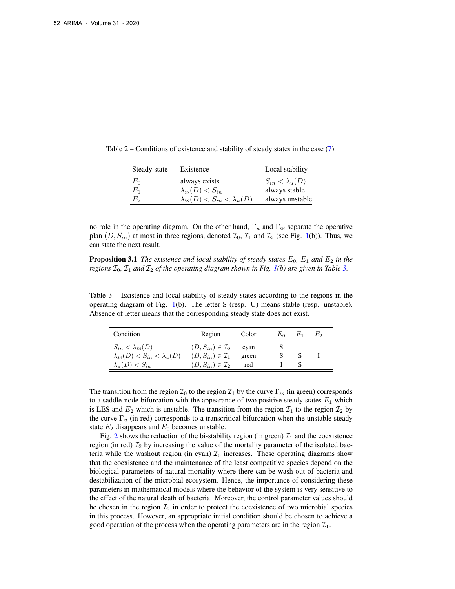<span id="page-7-0"></span>

| Steady state | Existence                                     | Local stability         |
|--------------|-----------------------------------------------|-------------------------|
| $E_0$        | always exists                                 | $S_{in} < \lambda_u(D)$ |
| $E_1$        | $\lambda_{\rm SN}(D) < S_{in}$                | always stable           |
| $E_2$        | $\lambda_{\rm SN}(D) < S_{in} < \lambda_u(D)$ | always unstable         |

Table 2 – Conditions of existence and stability of steady states in the case [\(7\)](#page-5-1).

no role in the operating diagram. On the other hand,  $\Gamma_u$  and  $\Gamma_{\rm SN}$  separate the operative plan  $(D, S_{in})$  at most in three regions, denoted  $\mathcal{I}_0$ ,  $\mathcal{I}_1$  and  $\mathcal{I}_2$  (see Fig. [1\(](#page-8-1)b)). Thus, we can state the next result.

**Proposition 3.1** *The existence and local stability of steady states*  $E_0$ ,  $E_1$  *and*  $E_2$  *in the regions*  $\mathcal{I}_0$ ,  $\mathcal{I}_1$  *and*  $\mathcal{I}_2$  *of the operating diagram shown in Fig. [1\(](#page-8-1)b) are given in Table [3.](#page-7-1)* 

<span id="page-7-1"></span>Table 3 – Existence and local stability of steady states according to the regions in the operating diagram of Fig. [1\(](#page-8-1)b). The letter S (resp. U) means stable (resp. unstable). Absence of letter means that the corresponding steady state does not exist.

| Condition                                     | Region                               | Color | $E_0$ | $E_1$ | F.o |
|-----------------------------------------------|--------------------------------------|-------|-------|-------|-----|
| $S_{in} < \lambda_{\rm SN}(D)$                | $(D, S_{in}) \in \mathcal{I}_0$ cyan |       |       |       |     |
| $\lambda_{\rm SN}(D) < S_{in} < \lambda_u(D)$ | $(D, S_{in}) \in \mathcal{I}_1$      | green |       |       |     |
| $\lambda_u(D) < S_{in}$                       | $(D, S_{in}) \in \mathcal{I}_2$      | red   |       |       |     |

The transition from the region  $\mathcal{I}_0$  to the region  $\mathcal{I}_1$  by the curve  $\Gamma_{\text{SN}}$  (in green) corresponds to a saddle-node bifurcation with the appearance of two positive steady states  $E_1$  which is LES and  $E_2$  which is unstable. The transition from the region  $\mathcal{I}_1$  to the region  $\mathcal{I}_2$  by the curve  $\Gamma_u$  (in red) corresponds to a transcritical bifurcation when the unstable steady state  $E_2$  disappears and  $E_0$  becomes unstable.

Fig. [2](#page-8-2) shows the reduction of the bi-stability region (in green)  $\mathcal{I}_1$  and the coexistence region (in red)  $\mathcal{I}_2$  by increasing the value of the mortality parameter of the isolated bacteria while the washout region (in cyan)  $\mathcal{I}_0$  increases. These operating diagrams show that the coexistence and the maintenance of the least competitive species depend on the biological parameters of natural mortality where there can be wash out of bacteria and destabilization of the microbial ecosystem. Hence, the importance of considering these parameters in mathematical models where the behavior of the system is very sensitive to the effect of the natural death of bacteria. Moreover, the control parameter values should be chosen in the region  $\mathcal{I}_2$  in order to protect the coexistence of two microbial species in this process. However, an appropriate initial condition should be chosen to achieve a good operation of the process when the operating parameters are in the region  $\mathcal{I}_1$ .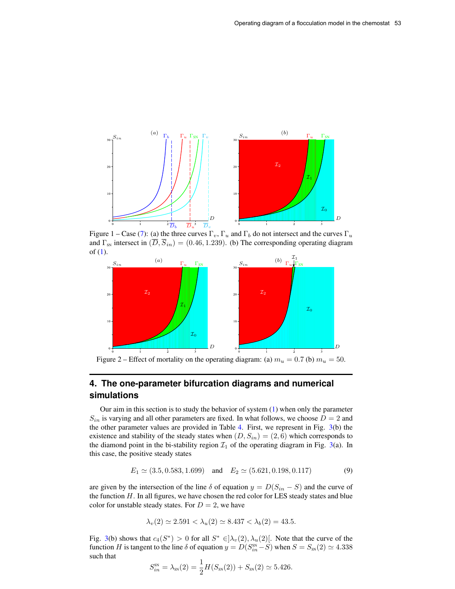

<span id="page-8-1"></span>Figure 1 – Case [\(7\)](#page-5-1): (a) the three curves  $\Gamma_v$ ,  $\Gamma_u$  and  $\Gamma_b$  do not intersect and the curves  $\Gamma_u$ and  $\Gamma_{\text{SN}}$  intersect in  $(\overline{D}, \overline{S}_{in}) = (0.46, 1.239)$ . (b) The corresponding operating diagram of [\(1\)](#page-1-0).



<span id="page-8-2"></span>Figure 2 – Effect of mortality on the operating diagram: (a)  $m_u = 0.7$  (b)  $m_u = 50$ .

# <span id="page-8-0"></span>**4. The one-parameter bifurcation diagrams and numerical simulations**

Our aim in this section is to study the behavior of system  $(1)$  when only the parameter  $S_{in}$  is varying and all other parameters are fixed. In what follows, we choose  $D = 2$  and the other parameter values are provided in Table [4.](#page-11-0) First, we represent in Fig. [3\(](#page-9-0)b) the existence and stability of the steady states when  $(D, S_{in}) = (2, 6)$  which corresponds to the diamond point in the bi-stability region  $\mathcal{I}_1$  of the operating diagram in Fig. [3\(](#page-9-0)a). In this case, the positive steady states

<span id="page-8-3"></span>
$$
E_1 \simeq (3.5, 0.583, 1.699) \quad \text{and} \quad E_2 \simeq (5.621, 0.198, 0.117) \tag{9}
$$

are given by the intersection of the line  $\delta$  of equation  $y = D(S_{in} - S)$  and the curve of the function  $H$ . In all figures, we have chosen the red color for LES steady states and blue color for unstable steady states. For  $D = 2$ , we have

$$
\lambda_v(2) \simeq 2.591 < \lambda_u(2) \simeq 8.437 < \lambda_b(2) = 43.5.
$$

Fig. [3\(](#page-9-0)b) shows that  $c_4(S^*) > 0$  for all  $S^* \in ]\lambda_v(2), \lambda_u(2)$ . Note that the curve of the function H is tangent to the line  $\delta$  of equation  $y = D(S_{in}^{ss} - S)$  when  $S = S_{ss}(2) \simeq 4.338$ such that

$$
S_{in}^{ss} = \lambda_{ss}(2) = \frac{1}{2}H(S_{ss}(2)) + S_{ss}(2) \simeq 5.426.
$$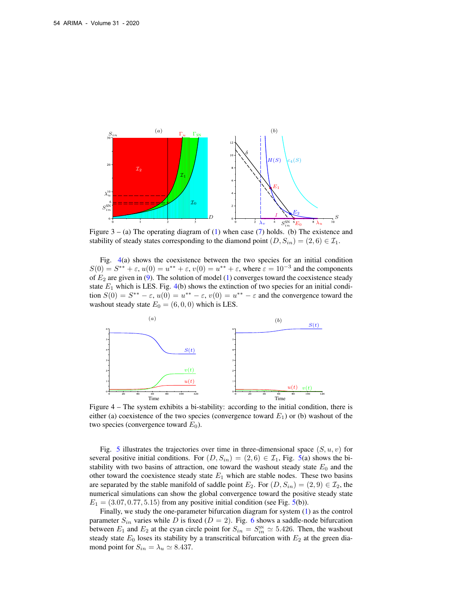

<span id="page-9-0"></span>Figure  $3 - (a)$  The operating diagram of  $(1)$  when case  $(7)$  holds. (b) The existence and stability of steady states corresponding to the diamond point  $(D, S_{in}) = (2, 6) \in \mathcal{I}_1$ .

Fig. [4\(](#page-9-1)a) shows the coexistence between the two species for an initial condition  $S(0) = S^{**} + \varepsilon$ ,  $u(0) = u^{**} + \varepsilon$ ,  $v(0) = u^{**} + \varepsilon$ , where  $\varepsilon = 10^{-3}$  and the components of  $E_2$  are given in [\(9\)](#page-8-3). The solution of model [\(1\)](#page-1-0) converges toward the coexistence steady state  $E_1$  which is LES. Fig. [4\(](#page-9-1)b) shows the extinction of two species for an initial condition  $S(0) = S^{**} - \varepsilon$ ,  $u(0) = u^{**} - \varepsilon$ ,  $v(0) = u^{**} - \varepsilon$  and the convergence toward the washout steady state  $E_0 = (6, 0, 0)$  which is LES.



<span id="page-9-1"></span>Figure 4 – The system exhibits a bi-stability: according to the initial condition, there is either (a) coexistence of the two species (convergence toward  $E_1$ ) or (b) washout of the two species (convergence toward  $E_0$ ).

Fig. [5](#page-10-1) illustrates the trajectories over time in three-dimensional space  $(S, u, v)$  for several positive initial conditions. For  $(D, S_{in}) = (2, 6) \in \mathcal{I}_1$ , Fig. [5\(](#page-10-1)a) shows the bistability with two basins of attraction, one toward the washout steady state  $E_0$  and the other toward the coexistence steady state  $E_1$  which are stable nodes. These two basins are separated by the stable manifold of saddle point  $E_2$ . For  $(D, S_{in}) = (2, 9) \in \mathcal{I}_2$ , the numerical simulations can show the global convergence toward the positive steady state  $E_1 = (3.07, 0.77, 5.15)$  from any positive initial condition (see Fig. [5\(](#page-10-1)b)).

Finally, we study the one-parameter bifurcation diagram for system [\(1\)](#page-1-0) as the control parameter  $S_{in}$  varies while D is fixed ( $D = 2$ ). Fig. [6](#page-10-2) shows a saddle-node bifurcation between  $E_1$  and  $E_2$  at the cyan circle point for  $S_{in} = S_{in}^{\text{SN}} \approx 5.426$ . Then, the washout steady state  $E_0$  loses its stability by a transcritical bifurcation with  $E_2$  at the green diamond point for  $S_{in} = \lambda_u \approx 8.437$ .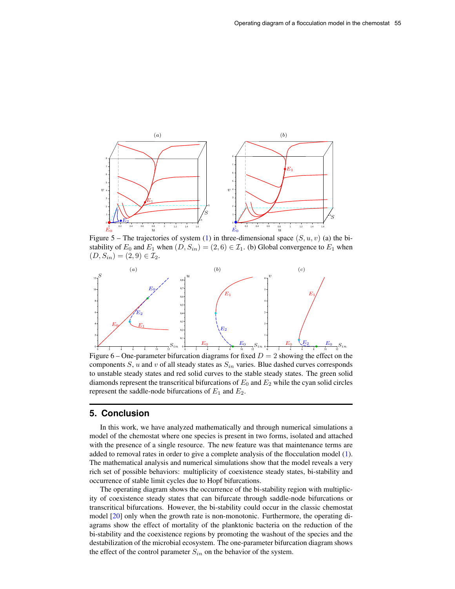

<span id="page-10-1"></span>Figure 5 – The trajectories of system [\(1\)](#page-1-0) in three-dimensional space  $(S, u, v)$  (a) the bistability of  $E_0$  and  $E_1$  when  $(D, S_{in}) = (2, 6) \in \mathcal{I}_1$ . (b) Global convergence to  $E_1$  when  $(D, S_{in}) = (2, 9) \in \mathcal{I}_2.$ 



<span id="page-10-2"></span>Figure 6 – One-parameter bifurcation diagrams for fixed  $D = 2$  showing the effect on the components S, u and v of all steady states as  $S_{in}$  varies. Blue dashed curves corresponds to unstable steady states and red solid curves to the stable steady states. The green solid diamonds represent the transcritical bifurcations of  $E_0$  and  $E_2$  while the cyan solid circles represent the saddle-node bifurcations of  $E_1$  and  $E_2$ .

## <span id="page-10-0"></span>**5. Conclusion**

In this work, we have analyzed mathematically and through numerical simulations a model of the chemostat where one species is present in two forms, isolated and attached with the presence of a single resource. The new feature was that maintenance terms are added to removal rates in order to give a complete analysis of the flocculation model [\(1\)](#page-1-0). The mathematical analysis and numerical simulations show that the model reveals a very rich set of possible behaviors: multiplicity of coexistence steady states, bi-stability and occurrence of stable limit cycles due to Hopf bifurcations.

The operating diagram shows the occurrence of the bi-stability region with multiplicity of coexistence steady states that can bifurcate through saddle-node bifurcations or transcritical bifurcations. However, the bi-stability could occur in the classic chemostat model [\[20\]](#page-12-19) only when the growth rate is non-monotonic. Furthermore, the operating diagrams show the effect of mortality of the planktonic bacteria on the reduction of the bi-stability and the coexistence regions by promoting the washout of the species and the destabilization of the microbial ecosystem. The one-parameter bifurcation diagram shows the effect of the control parameter  $S_{in}$  on the behavior of the system.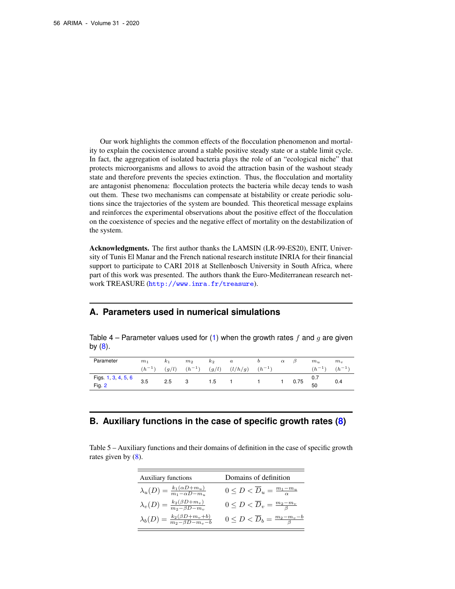Our work highlights the common effects of the flocculation phenomenon and mortality to explain the coexistence around a stable positive steady state or a stable limit cycle. In fact, the aggregation of isolated bacteria plays the role of an "ecological niche" that protects microorganisms and allows to avoid the attraction basin of the washout steady state and therefore prevents the species extinction. Thus, the flocculation and mortality are antagonist phenomena: flocculation protects the bacteria while decay tends to wash out them. These two mechanisms can compensate at bistability or create periodic solutions since the trajectories of the system are bounded. This theoretical message explains and reinforces the experimental observations about the positive effect of the flocculation on the coexistence of species and the negative effect of mortality on the destabilization of the system.

Acknowledgments. The first author thanks the LAMSIN (LR-99-ES20), ENIT, University of Tunis El Manar and the French national research institute INRIA for their financial support to participate to CARI 2018 at Stellenbosch University in South Africa, where part of this work was presented. The authors thank the Euro-Mediterranean research network TREASURE (<http://www.inra.fr/treasure>).

## **A. Parameters used in numerical simulations**

<span id="page-11-0"></span>Table 4 – Parameter values used for [\(1\)](#page-1-0) when the growth rates f and g are given by  $(8)$ .

| Parameter           | m <sub>1</sub> | $k_1$ | m <sub>2</sub> | $k_2$ | $\boldsymbol{a}$ |            | $\alpha$ | D    | $m_{\mu}$ | $m_{\eta}$ |
|---------------------|----------------|-------|----------------|-------|------------------|------------|----------|------|-----------|------------|
|                     | $(h^{-1})$     | (q/l) | $(h^{-1})$     | (g/l) | (l/h/g)          | $(h^{-1})$ |          |      | $h^{-1}$  | $(h^{-1})$ |
| Figs. 1, 3, 4, 5, 6 | 3.5            | 2.5   | 3              | 1.5   |                  |            |          | 0.75 | 0.7       |            |
| Fig. $2$            |                |       |                |       |                  |            |          |      | 50        | 0.4        |

# **B. Auxiliary functions in the case of specific growth rates [\(8\)](#page-6-1)**

<span id="page-11-1"></span>Table 5 – Auxiliary functions and their domains of definition in the case of specific growth rates given by  $(8)$ .

| <b>Auxiliary functions</b>                                              | Domains of definition                                     |
|-------------------------------------------------------------------------|-----------------------------------------------------------|
| $\lambda_u(D) = \frac{k_1(\alpha D + m_u)}{m_1 - \alpha D - m_u}$       | $0 \leq D < \overline{D}_u = \frac{m_1 - m_u}{\alpha}$    |
| $\lambda_{v}(D) = \frac{k_2(\beta D + m_v)}{m_2 - \beta D - m_v}$       | $0 \leq D < \overline{D}_v = \frac{m_2 - m_v}{\beta}$     |
| $\lambda_b(D) = \frac{k_2(\beta D + m_v + b)}{m_2 - \beta D - m_v - b}$ | $0 \leq D < \overline{D}_b = \frac{m_2 - m_v - b}{\beta}$ |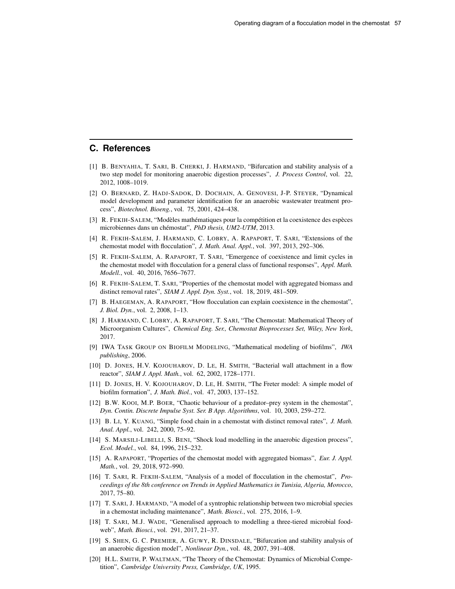## **C. References**

- <span id="page-12-9"></span>[1] B. BENYAHIA, T. SARI, B. CHERKI, J. HARMAND, "Bifurcation and stability analysis of a two step model for monitoring anaerobic digestion processes", *J. Process Control*, vol. 22, 2012, 1008–1019.
- <span id="page-12-8"></span>[2] O. BERNARD, Z. HADJ-SADOK, D. DOCHAIN, A. GENOVESI, J-P. STEYER, "Dynamical model development and parameter identification for an anaerobic wastewater treatment process", *Biotechnol. Bioeng.*, vol. 75, 2001, 424–438.
- <span id="page-12-5"></span>[3] R. FEKIH-SALEM, "Modèles mathématiques pour la compétition et la coexistence des espèces microbiennes dans un chémostat", *PhD thesis, UM2-UTM*, 2013.
- <span id="page-12-4"></span>[4] R. FEKIH-SALEM, J. HARMAND, C. LOBRY, A. RAPAPORT, T. SARI, "Extensions of the chemostat model with flocculation", *J. Math. Anal. Appl.*, vol. 397, 2013, 292–306.
- <span id="page-12-3"></span>[5] R. FEKIH-SALEM, A. RAPAPORT, T. SARI, "Emergence of coexistence and limit cycles in the chemostat model with flocculation for a general class of functional responses", *Appl. Math. Modell.*, vol. 40, 2016, 7656–7677.
- <span id="page-12-18"></span>[6] R. FEKIH-SALEM, T. SARI, "Properties of the chemostat model with aggregated biomass and distinct removal rates", *SIAM J. Appl. Dyn. Syst.*, vol. 18, 2019, 481–509.
- <span id="page-12-2"></span>[7] B. HAEGEMAN, A. RAPAPORT, "How flocculation can explain coexistence in the chemostat", *J. Biol. Dyn.*, vol. 2, 2008, 1–13.
- <span id="page-12-1"></span>[8] J. HARMAND, C. LOBRY, A. RAPAPORT, T. SARI, "The Chemostat: Mathematical Theory of Microorganism Cultures", *Chemical Eng. Ser., Chemostat Bioprocesses Set, Wiley, New York*, 2017.
- <span id="page-12-0"></span>[9] IWA TASK GROUP ON BIOFILM MODELING, "Mathematical modeling of biofilms", *IWA publishing*, 2006.
- <span id="page-12-12"></span>[10] D. JONES, H.V. KOJOUHAROV, D. LE, H. SMITH, "Bacterial wall attachment in a flow reactor", *SIAM J. Appl. Math.*, vol. 62, 2002, 1728–1771.
- <span id="page-12-13"></span>[11] D. JONES, H. V. KOJOUHAROV, D. LE, H. SMITH, "The Freter model: A simple model of biofilm formation", *J. Math. Biol.*, vol. 47, 2003, 137–152.
- <span id="page-12-14"></span>[12] B.W. KOOI, M.P. BOER, "Chaotic behaviour of a predator–prey system in the chemostat", *Dyn. Contin. Discrete Impulse Syst. Ser. B App. Algorithms*, vol. 10, 2003, 259–272.
- <span id="page-12-15"></span>[13] B. LI, Y. KUANG, "Simple food chain in a chemostat with distinct removal rates", *J. Math. Anal. Appl.*, vol. 242, 2000, 75–92.
- <span id="page-12-10"></span>[14] S. MARSILI-LIBELLI, S. BENI, "Shock load modelling in the anaerobic digestion process", *Ecol. Model.*, vol. 84, 1996, 215–232.
- <span id="page-12-6"></span>[15] A. RAPAPORT, "Properties of the chemostat model with aggregated biomass", *Eur. J. Appl. Math.*, vol. 29, 2018, 972–990.
- <span id="page-12-7"></span>[16] T. SARI, R. FEKIH-SALEM, "Analysis of a model of flocculation in the chemostat", *Proceedings of the 8th conference on Trends in Applied Mathematics in Tunisia, Algeria, Morocco*, 2017, 75–80.
- <span id="page-12-16"></span>[17] T. SARI, J. HARMAND, "A model of a syntrophic relationship between two microbial species in a chemostat including maintenance", *Math. Biosci.*, vol. 275, 2016, 1–9.
- <span id="page-12-17"></span>[18] T. SARI, M.J. WADE, "Generalised approach to modelling a three-tiered microbial foodweb", *Math. Biosci.*, vol. 291, 2017, 21–37.
- <span id="page-12-11"></span>[19] S. SHEN, G. C. PREMIER, A. GUWY, R. DINSDALE, "Bifurcation and stability analysis of an anaerobic digestion model", *Nonlinear Dyn.*, vol. 48, 2007, 391–408.
- <span id="page-12-19"></span>[20] H.L. SMITH, P. WALTMAN, "The Theory of the Chemostat: Dynamics of Microbial Competition", *Cambridge University Press, Cambridge, UK*, 1995.